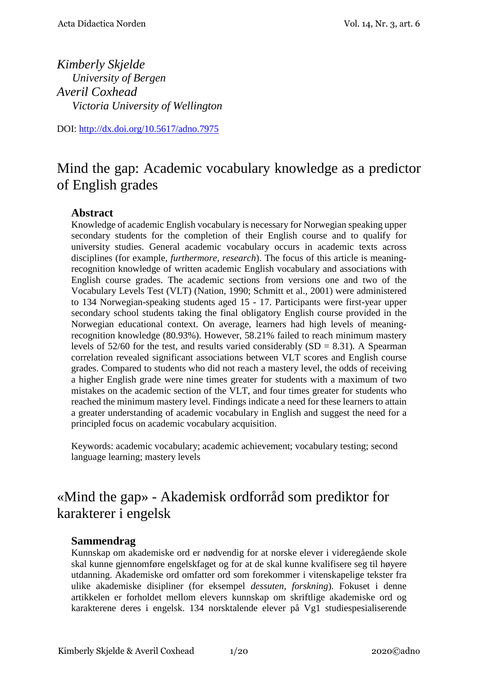*Kimberly Skjelde University of Bergen Averil Coxhead Victoria University of Wellington*

DOI: [http://dx.doi.org/10.5617/adno.](http://dx.doi.org/10.5617/adno)7975

# Mind the gap: Academic vocabulary knowledge as a predictor of English grades

### **Abstract**

Knowledge of academic English vocabulary is necessary for Norwegian speaking upper secondary students for the completion of their English course and to qualify for university studies. General academic vocabulary occurs in academic texts across disciplines (for example, *furthermore*, *research*). The focus of this article is meaningrecognition knowledge of written academic English vocabulary and associations with English course grades. The academic sections from versions one and two of the Vocabulary Levels Test (VLT) (Nation, 1990; Schmitt et al., 2001) were administered to 134 Norwegian-speaking students aged 15 - 17. Participants were first-year upper secondary school students taking the final obligatory English course provided in the Norwegian educational context. On average, learners had high levels of meaningrecognition knowledge (80.93%). However, 58.21% failed to reach minimum mastery levels of  $52/60$  for the test, and results varied considerably  $(SD = 8.31)$ . A Spearman correlation revealed significant associations between VLT scores and English course grades. Compared to students who did not reach a mastery level, the odds of receiving a higher English grade were nine times greater for students with a maximum of two mistakes on the academic section of the VLT, and four times greater for students who reached the minimum mastery level. Findings indicate a need for these learners to attain a greater understanding of academic vocabulary in English and suggest the need for a principled focus on academic vocabulary acquisition.

Keywords: academic vocabulary; academic achievement; vocabulary testing; second language learning; mastery levels

# «Mind the gap» - Akademisk ordforråd som prediktor for karakterer i engelsk

#### **Sammendrag**

Kunnskap om akademiske ord er nødvendig for at norske elever i videregående skole skal kunne gjennomføre engelskfaget og for at de skal kunne kvalifisere seg til høyere utdanning. Akademiske ord omfatter ord som forekommer i vitenskapelige tekster fra ulike akademiske disipliner (for eksempel *dessuten*, *forskning*). Fokuset i denne artikkelen er forholdet mellom elevers kunnskap om skriftlige akademiske ord og karakterene deres i engelsk. 134 norsktalende elever på Vg1 studiespesialiserende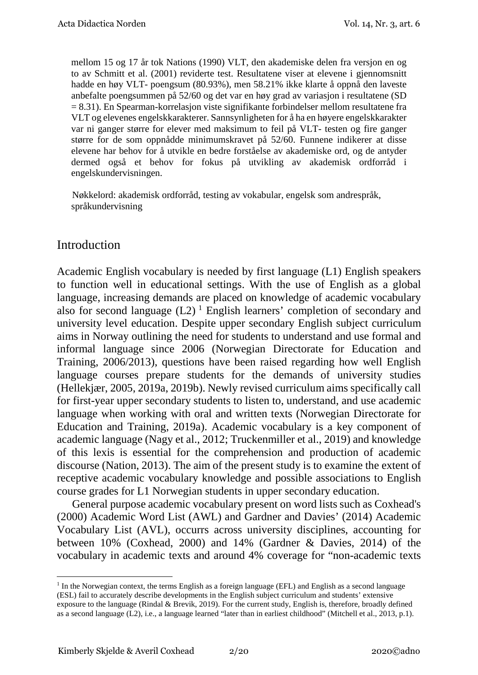mellom 15 og 17 år tok Nations (1990) VLT, den akademiske delen fra versjon en og to av Schmitt et al. (2001) reviderte test. Resultatene viser at elevene i gjennomsnitt hadde en høy VLT- poengsum (80.93%), men 58.21% ikke klarte å oppnå den laveste anbefalte poengsummen på 52/60 og det var en høy grad av variasjon i resultatene (SD = 8.31). En Spearman-korrelasjon viste signifikante forbindelser mellom resultatene fra VLT og elevenes engelskkarakterer. Sannsynligheten for å ha en høyere engelskkarakter var ni ganger større for elever med maksimum to feil på VLT- testen og fire ganger større for de som oppnådde minimumskravet på 52/60. Funnene indikerer at disse elevene har behov for å utvikle en bedre forståelse av akademiske ord, og de antyder dermed også et behov for fokus på utvikling av akademisk ordforråd i engelskundervisningen.

 Nøkkelord: akademisk ordforråd, testing av vokabular, engelsk som andrespråk, språkundervisning

# Introduction

Academic English vocabulary is needed by first language (L1) English speakers to function well in educational settings. With the use of English as a global language, increasing demands are placed on knowledge of academic vocabulary also for second language  $(L2)^{1}$  $(L2)^{1}$  $(L2)^{1}$  English learners' completion of secondary and university level education. Despite upper secondary English subject curriculum aims in Norway outlining the need for students to understand and use formal and informal language since 2006 (Norwegian Directorate for Education and Training, 2006/2013), questions have been raised regarding how well English language courses prepare students for the demands of university studies (Hellekjær, 2005, 2019a, 2019b). Newly revised curriculum aims specifically call for first-year upper secondary students to listen to, understand, and use academic language when working with oral and written texts (Norwegian Directorate for Education and Training, 2019a). Academic vocabulary is a key component of academic language (Nagy et al., 2012; Truckenmiller et al., 2019) and knowledge of this lexis is essential for the comprehension and production of academic discourse (Nation, 2013). The aim of the present study is to examine the extent of receptive academic vocabulary knowledge and possible associations to English course grades for L1 Norwegian students in upper secondary education.

General purpose academic vocabulary present on word lists such as Coxhead's (2000) Academic Word List (AWL) and Gardner and Davies' (2014) Academic Vocabulary List (AVL), occurrs across university disciplines, accounting for between 10% (Coxhead, 2000) and 14% (Gardner & Davies, 2014) of the vocabulary in academic texts and around 4% coverage for "non-academic texts

<u>.</u>

<span id="page-1-0"></span> $<sup>1</sup>$  In the Norwegian context, the terms English as a foreign language (EFL) and English as a second language</sup> (ESL) fail to accurately describe developments in the English subject curriculum and students' extensive exposure to the language (Rindal & Brevik, 2019). For the current study, English is, therefore, broadly defined as a second language (L2), i.e., a language learned "later than in earliest childhood" (Mitchell et al., 2013, p.1).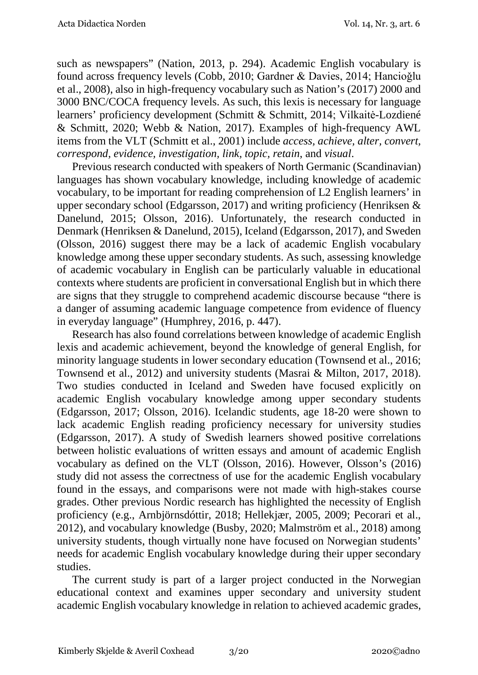such as newspapers" (Nation, 2013, p. 294). Academic English vocabulary is found across frequency levels (Cobb, 2010; Gardner & Davies, 2014; Hancioğlu et al., 2008), also in high-frequency vocabulary such as Nation's (2017) 2000 and 3000 BNC/COCA frequency levels. As such, this lexis is necessary for language learners' proficiency development (Schmitt & Schmitt, 2014; Vilkaitė-Lozdiené & Schmitt, 2020; Webb & Nation, 2017). Examples of high-frequency AWL items from the VLT (Schmitt et al., 2001) include *access, achieve, alter, convert, correspond, evidence, investigation, link, topic, retain*, and *visual*.

Previous research conducted with speakers of North Germanic (Scandinavian) languages has shown vocabulary knowledge, including knowledge of academic vocabulary, to be important for reading comprehension of L2 English learners' in upper secondary school (Edgarsson, 2017) and writing proficiency (Henriksen & Danelund, 2015; Olsson, 2016). Unfortunately, the research conducted in Denmark (Henriksen & Danelund, 2015), Iceland (Edgarsson, 2017), and Sweden (Olsson, 2016) suggest there may be a lack of academic English vocabulary knowledge among these upper secondary students. As such, assessing knowledge of academic vocabulary in English can be particularly valuable in educational contexts where students are proficient in conversational English but in which there are signs that they struggle to comprehend academic discourse because "there is a danger of assuming academic language competence from evidence of fluency in everyday language" (Humphrey, 2016, p. 447).

Research has also found correlations between knowledge of academic English lexis and academic achievement, beyond the knowledge of general English, for minority language students in lower secondary education (Townsend et al., 2016; Townsend et al., 2012) and university students (Masrai & Milton, 2017, 2018). Two studies conducted in Iceland and Sweden have focused explicitly on academic English vocabulary knowledge among upper secondary students (Edgarsson, 2017; Olsson, 2016). Icelandic students, age 18-20 were shown to lack academic English reading proficiency necessary for university studies (Edgarsson, 2017). A study of Swedish learners showed positive correlations between holistic evaluations of written essays and amount of academic English vocabulary as defined on the VLT (Olsson, 2016). However, Olsson's (2016) study did not assess the correctness of use for the academic English vocabulary found in the essays, and comparisons were not made with high-stakes course grades. Other previous Nordic research has highlighted the necessity of English proficiency (e.g., Arnbjörnsdóttir, 2018; Hellekjær, 2005, 2009; Pecorari et al., 2012), and vocabulary knowledge (Busby, 2020; Malmström et al., 2018) among university students, though virtually none have focused on Norwegian students' needs for academic English vocabulary knowledge during their upper secondary studies.

The current study is part of a larger project conducted in the Norwegian educational context and examines upper secondary and university student academic English vocabulary knowledge in relation to achieved academic grades,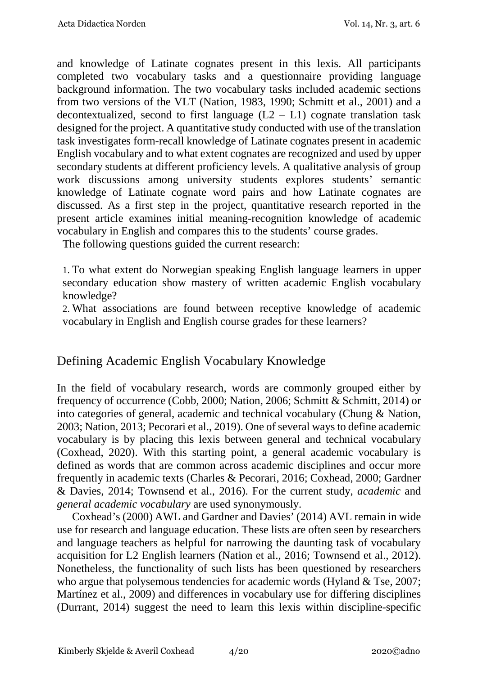and knowledge of Latinate cognates present in this lexis. All participants completed two vocabulary tasks and a questionnaire providing language background information. The two vocabulary tasks included academic sections from two versions of the VLT (Nation, 1983, 1990; Schmitt et al., 2001) and a decontextualized, second to first language  $(L2 - L1)$  cognate translation task designed for the project. A quantitative study conducted with use of the translation task investigates form-recall knowledge of Latinate cognates present in academic English vocabulary and to what extent cognates are recognized and used by upper secondary students at different proficiency levels. A qualitative analysis of group work discussions among university students explores students' semantic knowledge of Latinate cognate word pairs and how Latinate cognates are discussed. As a first step in the project, quantitative research reported in the present article examines initial meaning-recognition knowledge of academic vocabulary in English and compares this to the students' course grades.

The following questions guided the current research:

1. To what extent do Norwegian speaking English language learners in upper secondary education show mastery of written academic English vocabulary knowledge?

2. What associations are found between receptive knowledge of academic vocabulary in English and English course grades for these learners?

# Defining Academic English Vocabulary Knowledge

In the field of vocabulary research, words are commonly grouped either by frequency of occurrence (Cobb, 2000; Nation, 2006; Schmitt & Schmitt, 2014) or into categories of general, academic and technical vocabulary (Chung & Nation, 2003; Nation, 2013; Pecorari et al., 2019). One of several ways to define academic vocabulary is by placing this lexis between general and technical vocabulary (Coxhead, 2020). With this starting point, a general academic vocabulary is defined as words that are common across academic disciplines and occur more frequently in academic texts (Charles & Pecorari, 2016; Coxhead, 2000; Gardner & Davies, 2014; Townsend et al., 2016). For the current study, *academic* and *general academic vocabulary* are used synonymously.

Coxhead's (2000) AWL and Gardner and Davies' (2014) AVL remain in wide use for research and language education. These lists are often seen by researchers and language teachers as helpful for narrowing the daunting task of vocabulary acquisition for L2 English learners (Nation et al., 2016; Townsend et al., 2012). Nonetheless, the functionality of such lists has been questioned by researchers who argue that polysemous tendencies for academic words (Hyland & Tse, 2007; Martínez et al., 2009) and differences in vocabulary use for differing disciplines (Durrant, 2014) suggest the need to learn this lexis within discipline-specific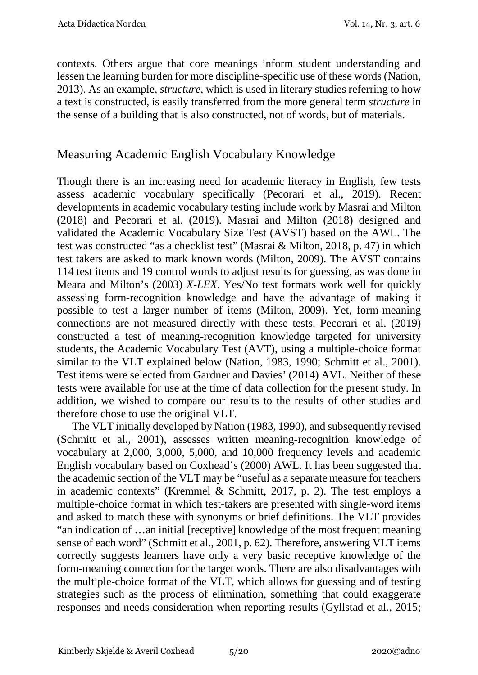contexts. Others argue that core meanings inform student understanding and lessen the learning burden for more discipline-specific use of these words (Nation, 2013). As an example, *structure,* which is used in literary studies referring to how a text is constructed*,* is easily transferred from the more general term *structure* in the sense of a building that is also constructed, not of words, but of materials.

# Measuring Academic English Vocabulary Knowledge

Though there is an increasing need for academic literacy in English, few tests assess academic vocabulary specifically (Pecorari et al., 2019). Recent developments in academic vocabulary testing include work by Masrai and Milton (2018) and Pecorari et al. (2019). Masrai and Milton (2018) designed and validated the Academic Vocabulary Size Test (AVST) based on the AWL. The test was constructed "as a checklist test" (Masrai & Milton, 2018, p. 47) in which test takers are asked to mark known words (Milton, 2009). The AVST contains 114 test items and 19 control words to adjust results for guessing, as was done in Meara and Milton's (2003) *X-LEX*. Yes/No test formats work well for quickly assessing form-recognition knowledge and have the advantage of making it possible to test a larger number of items (Milton, 2009). Yet, form-meaning connections are not measured directly with these tests. Pecorari et al. (2019) constructed a test of meaning-recognition knowledge targeted for university students, the Academic Vocabulary Test (AVT), using a multiple-choice format similar to the VLT explained below (Nation, 1983, 1990; Schmitt et al., 2001). Test items were selected from Gardner and Davies' (2014) AVL. Neither of these tests were available for use at the time of data collection for the present study. In addition, we wished to compare our results to the results of other studies and therefore chose to use the original VLT.

The VLT initially developed by Nation (1983, 1990), and subsequently revised (Schmitt et al., 2001), assesses written meaning-recognition knowledge of vocabulary at 2,000, 3,000, 5,000, and 10,000 frequency levels and academic English vocabulary based on Coxhead's (2000) AWL. It has been suggested that the academic section of the VLT may be "useful as a separate measure for teachers in academic contexts" (Kremmel & Schmitt, 2017, p. 2). The test employs a multiple-choice format in which test-takers are presented with single-word items and asked to match these with synonyms or brief definitions. The VLT provides "an indication of …an initial [receptive] knowledge of the most frequent meaning sense of each word" (Schmitt et al., 2001, p. 62). Therefore, answering VLT items correctly suggests learners have only a very basic receptive knowledge of the form-meaning connection for the target words. There are also disadvantages with the multiple-choice format of the VLT, which allows for guessing and of testing strategies such as the process of elimination, something that could exaggerate responses and needs consideration when reporting results (Gyllstad et al., 2015;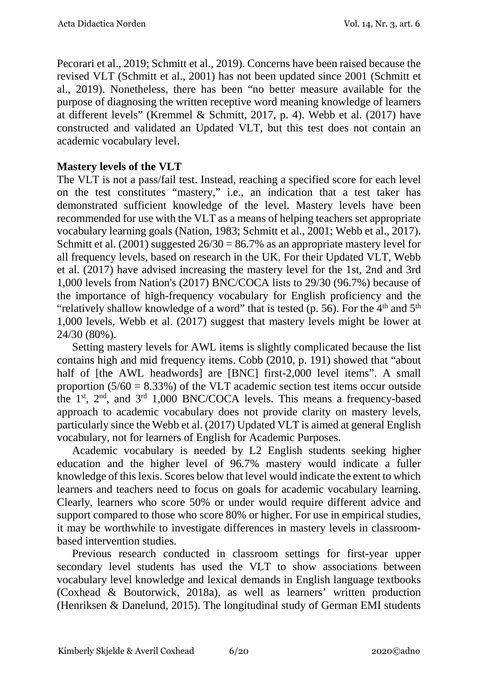Pecorari et al., 2019; Schmitt et al., 2019). Concerns have been raised because the revised VLT (Schmitt et al., 2001) has not been updated since 2001 (Schmitt et al., 2019). Nonetheless, there has been "no better measure available for the purpose of diagnosing the written receptive word meaning knowledge of learners at different levels" (Kremmel & Schmitt, 2017, p. 4). Webb et al. (2017) have constructed and validated an Updated VLT, but this test does not contain an academic vocabulary level.

### **Mastery levels of the VLT**

The VLT is not a pass/fail test. Instead, reaching a specified score for each level on the test constitutes "mastery," i.e., an indication that a test taker has demonstrated sufficient knowledge of the level. Mastery levels have been recommended for use with the VLT as a means of helping teachers set appropriate vocabulary learning goals (Nation, 1983; Schmitt et al., 2001; Webb et al., 2017). Schmitt et al.  $(2001)$  suggested  $26/30 = 86.7\%$  as an appropriate mastery level for all frequency levels, based on research in the UK. For their Updated VLT, Webb et al. (2017) have advised increasing the mastery level for the 1st, 2nd and 3rd 1,000 levels from Nation's (2017) BNC/COCA lists to 29/30 (96.7%) because of the importance of high-frequency vocabulary for English proficiency and the "relatively shallow knowledge of a word" that is tested (p. 56). For the  $4<sup>th</sup>$  and  $5<sup>th</sup>$ 1,000 levels, Webb et al. (2017) suggest that mastery levels might be lower at 24/30 (80%).

Setting mastery levels for AWL items is slightly complicated because the list contains high and mid frequency items. Cobb (2010, p. 191) showed that "about half of [the AWL headwords] are [BNC] first-2,000 level items". A small proportion  $(5/60 = 8.33\%)$  of the VLT academic section test items occur outside the  $1<sup>st</sup>$ ,  $2<sup>nd</sup>$ , and  $3<sup>rd</sup>$  1,000 BNC/COCA levels. This means a frequency-based approach to academic vocabulary does not provide clarity on mastery levels, particularly since the Webb et al. (2017) Updated VLT is aimed at general English vocabulary, not for learners of English for Academic Purposes.

Academic vocabulary is needed by L2 English students seeking higher education and the higher level of 96.7% mastery would indicate a fuller knowledge of this lexis. Scores below that level would indicate the extent to which learners and teachers need to focus on goals for academic vocabulary learning. Clearly, learners who score 50% or under would require different advice and support compared to those who score 80% or higher. For use in empirical studies, it may be worthwhile to investigate differences in mastery levels in classroombased intervention studies.

Previous research conducted in classroom settings for first-year upper secondary level students has used the VLT to show associations between vocabulary level knowledge and lexical demands in English language textbooks (Coxhead & Boutorwick, 2018a), as well as learners' written production (Henriksen & Danelund, 2015). The longitudinal study of German EMI students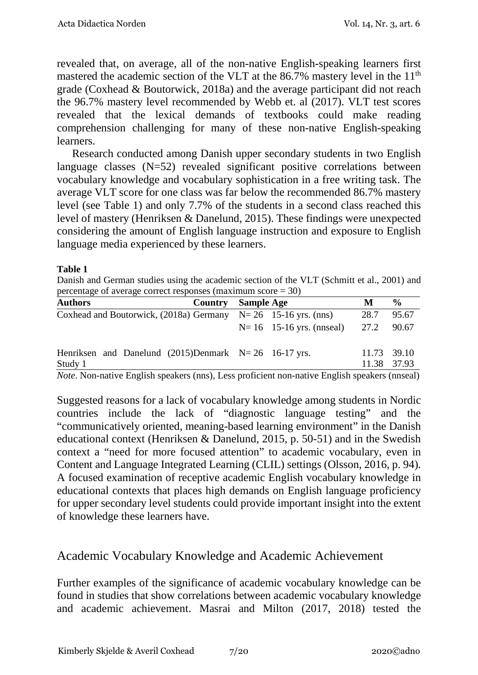revealed that, on average, all of the non-native English-speaking learners first mastered the academic section of the VLT at the 86.7% mastery level in the 11<sup>th</sup> grade (Coxhead & Boutorwick, 2018a) and the average participant did not reach the 96.7% mastery level recommended by Webb et. al (2017). VLT test scores revealed that the lexical demands of textbooks could make reading comprehension challenging for many of these non-native English-speaking learners.

Research conducted among Danish upper secondary students in two English language classes  $(N=52)$  revealed significant positive correlations between vocabulary knowledge and vocabulary sophistication in a free writing task. The average VLT score for one class was far below the recommended 86.7% mastery level (see Table 1) and only 7.7% of the students in a second class reached this level of mastery (Henriksen & Danelund, 2015). These findings were unexpected considering the amount of English language instruction and exposure to English language media experienced by these learners.

#### **Table 1**

Danish and German studies using the academic section of the VLT (Schmitt et al., 2001) and percentage of average correct responses (maximum score  $= 30$ )

| <b>Authors</b>                                                              | <b>Country</b> Sample Age |                                                           | M    | $\frac{6}{9}$ |
|-----------------------------------------------------------------------------|---------------------------|-----------------------------------------------------------|------|---------------|
| Coxhead and Boutorwick, $(2018a)$ Germany $N=26$ 15-16 yrs. (nns)           |                           |                                                           | 28.7 | 95.67         |
|                                                                             |                           | $N = 16$ 15-16 yrs. (nnseal)                              | 27.2 | 90.67         |
| Henriksen and Danelund $(2015)$ Denmark N= 26 16-17 yrs.                    |                           |                                                           |      | 11.73 39.10   |
| Study 1<br>$\mathbf{M}$ $\mathbf{M}$ $\mathbf{M}$ $\mathbf{M}$ $\mathbf{M}$ |                           | $\mathbf{r}$ . The set of $\mathbf{r}$<br>$\cdot$ $\cdot$ |      | 11.38 37.93   |

*Note*. Non-native English speakers (nns), Less proficient non-native English speakers (nnseal)

Suggested reasons for a lack of vocabulary knowledge among students in Nordic countries include the lack of "diagnostic language testing" and the "communicatively oriented, meaning-based learning environment" in the Danish educational context (Henriksen & Danelund, 2015, p. 50-51) and in the Swedish context a "need for more focused attention" to academic vocabulary, even in Content and Language Integrated Learning (CLIL) settings (Olsson, 2016, p. 94). A focused examination of receptive academic English vocabulary knowledge in educational contexts that places high demands on English language proficiency for upper secondary level students could provide important insight into the extent of knowledge these learners have.

## Academic Vocabulary Knowledge and Academic Achievement

Further examples of the significance of academic vocabulary knowledge can be found in studies that show correlations between academic vocabulary knowledge and academic achievement. Masrai and Milton (2017, 2018) tested the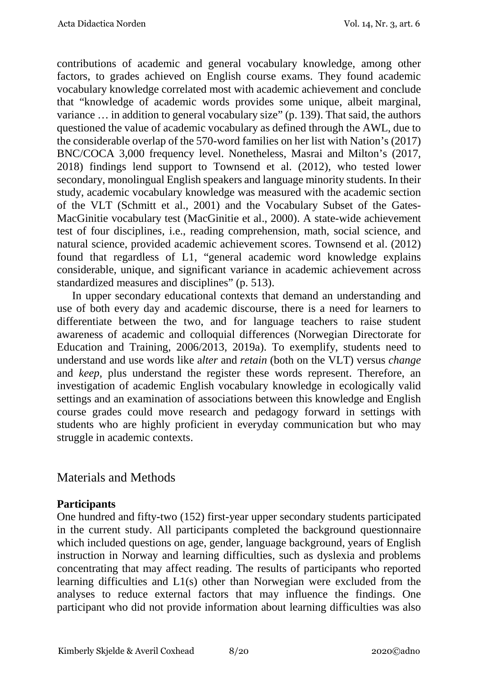contributions of academic and general vocabulary knowledge, among other factors, to grades achieved on English course exams. They found academic vocabulary knowledge correlated most with academic achievement and conclude that "knowledge of academic words provides some unique, albeit marginal, variance … in addition to general vocabulary size" (p. 139). That said, the authors questioned the value of academic vocabulary as defined through the AWL, due to the considerable overlap of the 570-word families on her list with Nation's (2017) BNC/COCA 3,000 frequency level. Nonetheless, Masrai and Milton's (2017, 2018) findings lend support to Townsend et al. (2012), who tested lower secondary, monolingual English speakers and language minority students. In their study, academic vocabulary knowledge was measured with the academic section of the VLT (Schmitt et al., 2001) and the Vocabulary Subset of the Gates-MacGinitie vocabulary test (MacGinitie et al., 2000). A state-wide achievement test of four disciplines, i.e., reading comprehension, math, social science, and natural science, provided academic achievement scores. Townsend et al. (2012) found that regardless of L1, "general academic word knowledge explains considerable, unique, and significant variance in academic achievement across standardized measures and disciplines" (p. 513).

In upper secondary educational contexts that demand an understanding and use of both every day and academic discourse, there is a need for learners to differentiate between the two, and for language teachers to raise student awareness of academic and colloquial differences (Norwegian Directorate for Education and Training, 2006/2013, 2019a). To exemplify, students need to understand and use words like a*lter* and *retain* (both on the VLT) versus *change* and *keep,* plus understand the register these words represent. Therefore, an investigation of academic English vocabulary knowledge in ecologically valid settings and an examination of associations between this knowledge and English course grades could move research and pedagogy forward in settings with students who are highly proficient in everyday communication but who may struggle in academic contexts.

## Materials and Methods

### **Participants**

One hundred and fifty-two (152) first-year upper secondary students participated in the current study. All participants completed the background questionnaire which included questions on age, gender, language background, years of English instruction in Norway and learning difficulties, such as dyslexia and problems concentrating that may affect reading. The results of participants who reported learning difficulties and L1(s) other than Norwegian were excluded from the analyses to reduce external factors that may influence the findings. One participant who did not provide information about learning difficulties was also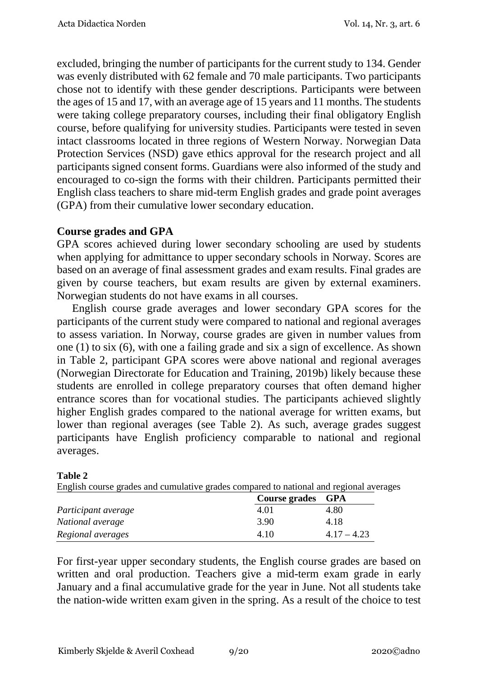excluded, bringing the number of participants for the current study to 134. Gender was evenly distributed with 62 female and 70 male participants. Two participants chose not to identify with these gender descriptions. Participants were between the ages of 15 and 17, with an average age of 15 years and 11 months. The students were taking college preparatory courses, including their final obligatory English course, before qualifying for university studies. Participants were tested in seven intact classrooms located in three regions of Western Norway. Norwegian Data Protection Services (NSD) gave ethics approval for the research project and all participants signed consent forms. Guardians were also informed of the study and encouraged to co-sign the forms with their children. Participants permitted their English class teachers to share mid-term English grades and grade point averages (GPA) from their cumulative lower secondary education.

### **Course grades and GPA**

GPA scores achieved during lower secondary schooling are used by students when applying for admittance to upper secondary schools in Norway. Scores are based on an average of final assessment grades and exam results. Final grades are given by course teachers, but exam results are given by external examiners. Norwegian students do not have exams in all courses.

English course grade averages and lower secondary GPA scores for the participants of the current study were compared to national and regional averages to assess variation. In Norway, course grades are given in number values from one (1) to six (6), with one a failing grade and six a sign of excellence. As shown in Table 2, participant GPA scores were above national and regional averages (Norwegian Directorate for Education and Training, 2019b) likely because these students are enrolled in college preparatory courses that often demand higher entrance scores than for vocational studies. The participants achieved slightly higher English grades compared to the national average for written exams, but lower than regional averages (see Table 2). As such, average grades suggest participants have English proficiency comparable to national and regional averages.

| English course grades and cumulative grades compared to national and regional averages |                   |               |
|----------------------------------------------------------------------------------------|-------------------|---------------|
|                                                                                        | Course grades GPA |               |
| Participant average                                                                    | 4.01              | 4.80          |
| National average                                                                       | 3.90              | 4.18          |
| Regional averages                                                                      | 4.10              | $4.17 - 4.23$ |

#### **Table 2**

For first-year upper secondary students, the English course grades are based on written and oral production. Teachers give a mid-term exam grade in early January and a final accumulative grade for the year in June. Not all students take the nation-wide written exam given in the spring. As a result of the choice to test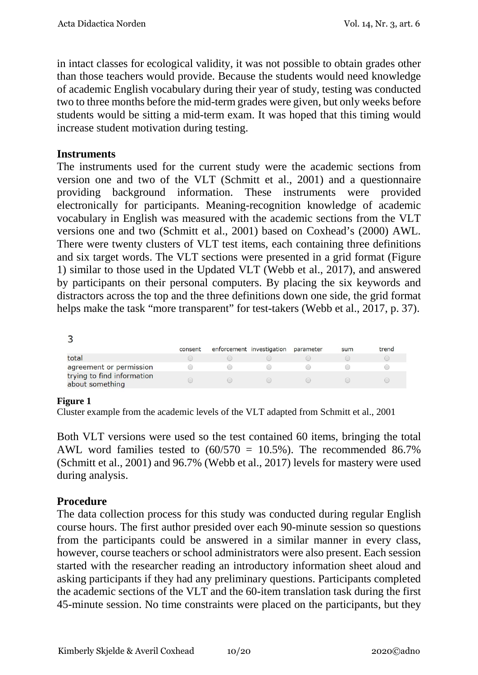in intact classes for ecological validity, it was not possible to obtain grades other than those teachers would provide. Because the students would need knowledge of academic English vocabulary during their year of study, testing was conducted two to three months before the mid-term grades were given, but only weeks before students would be sitting a mid-term exam. It was hoped that this timing would increase student motivation during testing.

### **Instruments**

The instruments used for the current study were the academic sections from version one and two of the VLT (Schmitt et al., 2001) and a questionnaire providing background information. These instruments were provided electronically for participants. Meaning-recognition knowledge of academic vocabulary in English was measured with the academic sections from the VLT versions one and two (Schmitt et al., 2001) based on Coxhead's (2000) AWL. There were twenty clusters of VLT test items, each containing three definitions and six target words. The VLT sections were presented in a grid format (Figure 1) similar to those used in the Updated VLT (Webb et al., 2017), and answered by participants on their personal computers. By placing the six keywords and distractors across the top and the three definitions down one side, the grid format helps make the task "more transparent" for test-takers (Webb et al., 2017, p. 37).

 $\overline{\mathbf{z}}$ 

| $\tilde{\phantom{a}}$                         |         |                                                             |           |     |       |
|-----------------------------------------------|---------|-------------------------------------------------------------|-----------|-----|-------|
|                                               | consent | enforcement investigation                                   | parameter | sum | trend |
| total                                         |         |                                                             |           |     |       |
| agreement or permission                       |         |                                                             |           |     |       |
| trying to find information<br>about something |         | $\left(\begin{array}{cc} 0 & 0 \\ 0 & 0 \end{array}\right)$ |           |     |       |

#### **Figure 1**

Cluster example from the academic levels of the VLT adapted from Schmitt et al., 2001

Both VLT versions were used so the test contained 60 items, bringing the total AWL word families tested to  $(60/570 = 10.5\%)$ . The recommended 86.7% (Schmitt et al., 2001) and 96.7% (Webb et al., 2017) levels for mastery were used during analysis.

## **Procedure**

The data collection process for this study was conducted during regular English course hours. The first author presided over each 90-minute session so questions from the participants could be answered in a similar manner in every class, however, course teachers or school administrators were also present. Each session started with the researcher reading an introductory information sheet aloud and asking participants if they had any preliminary questions. Participants completed the academic sections of the VLT and the 60-item translation task during the first 45-minute session. No time constraints were placed on the participants, but they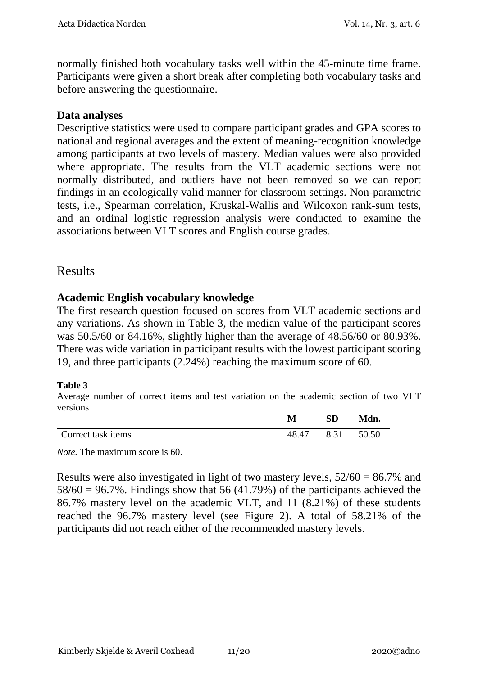normally finished both vocabulary tasks well within the 45-minute time frame. Participants were given a short break after completing both vocabulary tasks and before answering the questionnaire.

### **Data analyses**

Descriptive statistics were used to compare participant grades and GPA scores to national and regional averages and the extent of meaning-recognition knowledge among participants at two levels of mastery. Median values were also provided where appropriate. The results from the VLT academic sections were not normally distributed, and outliers have not been removed so we can report findings in an ecologically valid manner for classroom settings. Non-parametric tests, i.e., Spearman correlation, Kruskal-Wallis and Wilcoxon rank-sum tests, and an ordinal logistic regression analysis were conducted to examine the associations between VLT scores and English course grades.

## Results

### **Academic English vocabulary knowledge**

The first research question focused on scores from VLT academic sections and any variations. As shown in Table 3, the median value of the participant scores was 50.5/60 or 84.16%, slightly higher than the average of 48.56/60 or 80.93%. There was wide variation in participant results with the lowest participant scoring 19, and three participants (2.24%) reaching the maximum score of 60.

#### **Table 3**

Average number of correct items and test variation on the academic section of two VLT versions

|                    | М     | <b>SD</b> | Mdn.  |
|--------------------|-------|-----------|-------|
| Correct task items | 48.47 | 8.31      | 50.50 |

*Note.* The maximum score is 60.

Results were also investigated in light of two mastery levels, 52/60 = 86.7% and  $58/60 = 96.7\%$ . Findings show that 56 (41.79%) of the participants achieved the 86.7% mastery level on the academic VLT, and 11 (8.21%) of these students reached the 96.7% mastery level (see Figure 2). A total of 58.21% of the participants did not reach either of the recommended mastery levels.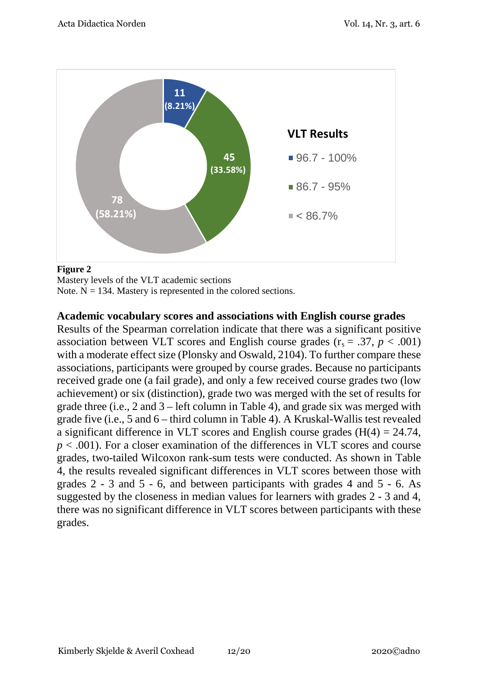

#### **Figure 2**

Mastery levels of the VLT academic sections

Note.  $N = 134$ . Mastery is represented in the colored sections.

#### **Academic vocabulary scores and associations with English course grades**

Results of the Spearman correlation indicate that there was a significant positive association between VLT scores and English course grades  $(r_s = .37, p < .001)$ with a moderate effect size (Plonsky and Oswald, 2104). To further compare these associations, participants were grouped by course grades. Because no participants received grade one (a fail grade), and only a few received course grades two (low achievement) or six (distinction), grade two was merged with the set of results for grade three (i.e., 2 and 3 – left column in Table 4), and grade six was merged with grade five (i.e., 5 and 6 – third column in Table 4). A Kruskal-Wallis test revealed a significant difference in VLT scores and English course grades  $(H(4) = 24.74$ , *p* < .001). For a closer examination of the differences in VLT scores and course grades, two-tailed Wilcoxon rank-sum tests were conducted. As shown in Table 4, the results revealed significant differences in VLT scores between those with grades 2 - 3 and 5 - 6, and between participants with grades 4 and 5 - 6. As suggested by the closeness in median values for learners with grades 2 - 3 and 4, there was no significant difference in VLT scores between participants with these grades.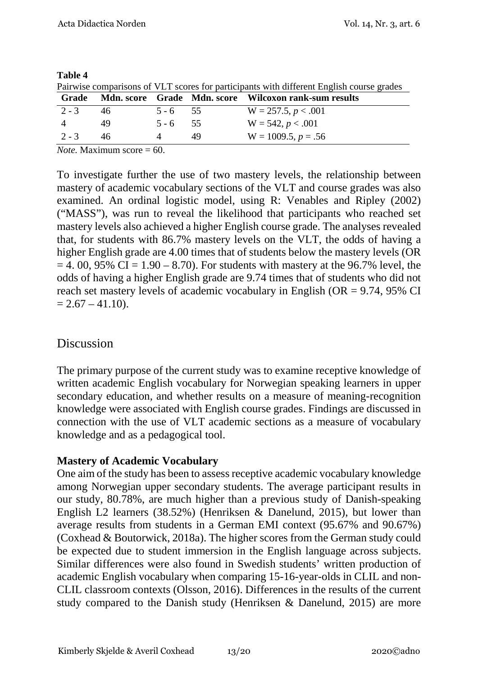| Pairwise comparisons of VLT scores for participants with different English course grades |            |            |    |                                                       |  |
|------------------------------------------------------------------------------------------|------------|------------|----|-------------------------------------------------------|--|
| Grade                                                                                    |            |            |    | Mdn. score Grade Mdn. score Wilcoxon rank-sum results |  |
|                                                                                          | $2 - 3$ 46 | $5 - 6$ 55 |    | $W = 257.5, p < .001$                                 |  |
| $\overline{4}$                                                                           | 49         | $5 - 6$ 55 |    | $W = 542, p < .001$                                   |  |
| $2 - 3$                                                                                  | 46         |            | 49 | $W = 1009.5, p = .56$                                 |  |

#### **Table 4**

Pairwise comparisons of VLT scores for participants with different English course grades

*Note.* Maximum score = 60.

To investigate further the use of two mastery levels, the relationship between mastery of academic vocabulary sections of the VLT and course grades was also examined. An ordinal logistic model, using R: Venables and Ripley (2002) ("MASS"), was run to reveal the likelihood that participants who reached set mastery levels also achieved a higher English course grade. The analyses revealed that, for students with 86.7% mastery levels on the VLT, the odds of having a higher English grade are 4.00 times that of students below the mastery levels (OR  $= 4.00, 95\% \text{ CI} = 1.90 - 8.70$ . For students with mastery at the 96.7% level, the odds of having a higher English grade are 9.74 times that of students who did not reach set mastery levels of academic vocabulary in English (OR = 9.74, 95% CI  $= 2.67 - 41.10$ .

# Discussion

The primary purpose of the current study was to examine receptive knowledge of written academic English vocabulary for Norwegian speaking learners in upper secondary education, and whether results on a measure of meaning-recognition knowledge were associated with English course grades. Findings are discussed in connection with the use of VLT academic sections as a measure of vocabulary knowledge and as a pedagogical tool.

## **Mastery of Academic Vocabulary**

One aim of the study has been to assess receptive academic vocabulary knowledge among Norwegian upper secondary students. The average participant results in our study, 80.78%, are much higher than a previous study of Danish-speaking English L2 learners (38.52%) (Henriksen & Danelund, 2015), but lower than average results from students in a German EMI context (95.67% and 90.67%) (Coxhead & Boutorwick, 2018a). The higher scores from the German study could be expected due to student immersion in the English language across subjects. Similar differences were also found in Swedish students' written production of academic English vocabulary when comparing 15-16-year-olds in CLIL and non-CLIL classroom contexts (Olsson, 2016). Differences in the results of the current study compared to the Danish study (Henriksen & Danelund, 2015) are more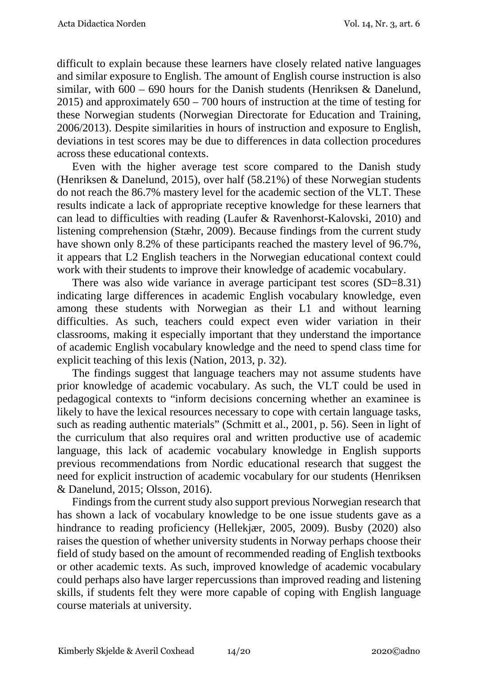difficult to explain because these learners have closely related native languages and similar exposure to English. The amount of English course instruction is also similar, with  $600 - 690$  hours for the Danish students (Henriksen & Danelund, 2015) and approximately 650 – 700 hours of instruction at the time of testing for these Norwegian students (Norwegian Directorate for Education and Training, 2006/2013). Despite similarities in hours of instruction and exposure to English, deviations in test scores may be due to differences in data collection procedures across these educational contexts.

Even with the higher average test score compared to the Danish study (Henriksen & Danelund, 2015), over half (58.21%) of these Norwegian students do not reach the 86.7% mastery level for the academic section of the VLT. These results indicate a lack of appropriate receptive knowledge for these learners that can lead to difficulties with reading (Laufer & Ravenhorst-Kalovski, 2010) and listening comprehension (Stæhr, 2009). Because findings from the current study have shown only 8.2% of these participants reached the mastery level of 96.7%, it appears that L2 English teachers in the Norwegian educational context could work with their students to improve their knowledge of academic vocabulary.

There was also wide variance in average participant test scores (SD=8.31) indicating large differences in academic English vocabulary knowledge, even among these students with Norwegian as their L1 and without learning difficulties. As such, teachers could expect even wider variation in their classrooms, making it especially important that they understand the importance of academic English vocabulary knowledge and the need to spend class time for explicit teaching of this lexis (Nation, 2013, p. 32).

The findings suggest that language teachers may not assume students have prior knowledge of academic vocabulary. As such, the VLT could be used in pedagogical contexts to "inform decisions concerning whether an examinee is likely to have the lexical resources necessary to cope with certain language tasks, such as reading authentic materials" (Schmitt et al., 2001, p. 56). Seen in light of the curriculum that also requires oral and written productive use of academic language, this lack of academic vocabulary knowledge in English supports previous recommendations from Nordic educational research that suggest the need for explicit instruction of academic vocabulary for our students (Henriksen & Danelund, 2015; Olsson, 2016).

Findings from the current study also support previous Norwegian research that has shown a lack of vocabulary knowledge to be one issue students gave as a hindrance to reading proficiency (Hellekjær, 2005, 2009). Busby (2020) also raises the question of whether university students in Norway perhaps choose their field of study based on the amount of recommended reading of English textbooks or other academic texts. As such, improved knowledge of academic vocabulary could perhaps also have larger repercussions than improved reading and listening skills, if students felt they were more capable of coping with English language course materials at university.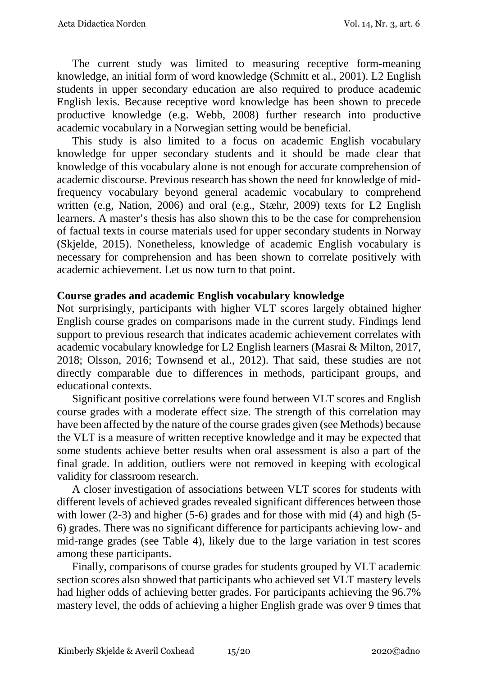The current study was limited to measuring receptive form-meaning knowledge, an initial form of word knowledge (Schmitt et al., 2001). L2 English students in upper secondary education are also required to produce academic English lexis. Because receptive word knowledge has been shown to precede productive knowledge (e.g. Webb, 2008) further research into productive academic vocabulary in a Norwegian setting would be beneficial.

This study is also limited to a focus on academic English vocabulary knowledge for upper secondary students and it should be made clear that knowledge of this vocabulary alone is not enough for accurate comprehension of academic discourse. Previous research has shown the need for knowledge of midfrequency vocabulary beyond general academic vocabulary to comprehend written (e.g, Nation, 2006) and oral (e.g., Stæhr, 2009) texts for L2 English learners. A master's thesis has also shown this to be the case for comprehension of factual texts in course materials used for upper secondary students in Norway (Skjelde, 2015). Nonetheless, knowledge of academic English vocabulary is necessary for comprehension and has been shown to correlate positively with academic achievement. Let us now turn to that point.

### **Course grades and academic English vocabulary knowledge**

Not surprisingly, participants with higher VLT scores largely obtained higher English course grades on comparisons made in the current study. Findings lend support to previous research that indicates academic achievement correlates with academic vocabulary knowledge for L2 English learners (Masrai & Milton, 2017, 2018; Olsson, 2016; Townsend et al., 2012). That said, these studies are not directly comparable due to differences in methods, participant groups, and educational contexts.

Significant positive correlations were found between VLT scores and English course grades with a moderate effect size. The strength of this correlation may have been affected by the nature of the course grades given (see Methods) because the VLT is a measure of written receptive knowledge and it may be expected that some students achieve better results when oral assessment is also a part of the final grade. In addition, outliers were not removed in keeping with ecological validity for classroom research.

A closer investigation of associations between VLT scores for students with different levels of achieved grades revealed significant differences between those with lower (2-3) and higher (5-6) grades and for those with mid (4) and high (5-6) grades. There was no significant difference for participants achieving low- and mid-range grades (see Table 4), likely due to the large variation in test scores among these participants.

Finally, comparisons of course grades for students grouped by VLT academic section scores also showed that participants who achieved set VLT mastery levels had higher odds of achieving better grades. For participants achieving the 96.7% mastery level, the odds of achieving a higher English grade was over 9 times that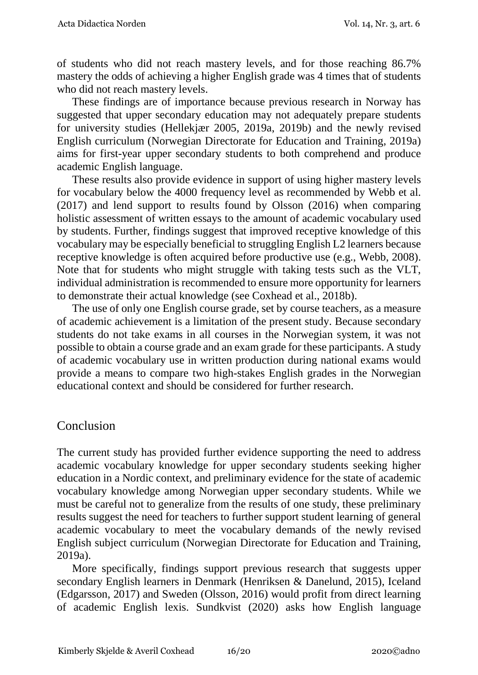of students who did not reach mastery levels, and for those reaching 86.7% mastery the odds of achieving a higher English grade was 4 times that of students who did not reach mastery levels.

These findings are of importance because previous research in Norway has suggested that upper secondary education may not adequately prepare students for university studies (Hellekjær 2005, 2019a, 2019b) and the newly revised English curriculum (Norwegian Directorate for Education and Training, 2019a) aims for first-year upper secondary students to both comprehend and produce academic English language.

These results also provide evidence in support of using higher mastery levels for vocabulary below the 4000 frequency level as recommended by Webb et al. (2017) and lend support to results found by Olsson (2016) when comparing holistic assessment of written essays to the amount of academic vocabulary used by students. Further, findings suggest that improved receptive knowledge of this vocabulary may be especially beneficial to struggling English L2 learners because receptive knowledge is often acquired before productive use (e.g., Webb, 2008). Note that for students who might struggle with taking tests such as the VLT, individual administration is recommended to ensure more opportunity for learners to demonstrate their actual knowledge (see Coxhead et al., 2018b).

The use of only one English course grade, set by course teachers, as a measure of academic achievement is a limitation of the present study. Because secondary students do not take exams in all courses in the Norwegian system, it was not possible to obtain a course grade and an exam grade for these participants. A study of academic vocabulary use in written production during national exams would provide a means to compare two high-stakes English grades in the Norwegian educational context and should be considered for further research.

## Conclusion

The current study has provided further evidence supporting the need to address academic vocabulary knowledge for upper secondary students seeking higher education in a Nordic context, and preliminary evidence for the state of academic vocabulary knowledge among Norwegian upper secondary students. While we must be careful not to generalize from the results of one study, these preliminary results suggest the need for teachers to further support student learning of general academic vocabulary to meet the vocabulary demands of the newly revised English subject curriculum (Norwegian Directorate for Education and Training, 2019a).

More specifically, findings support previous research that suggests upper secondary English learners in Denmark (Henriksen & Danelund, 2015), Iceland (Edgarsson, 2017) and Sweden (Olsson, 2016) would profit from direct learning of academic English lexis. Sundkvist (2020) asks how English language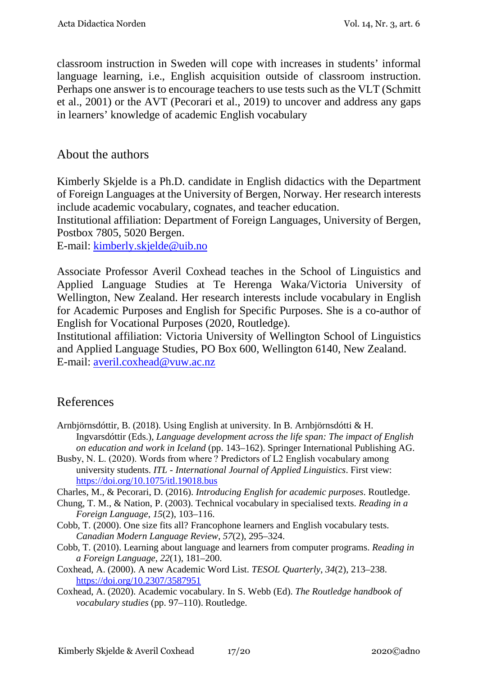classroom instruction in Sweden will cope with increases in students' informal language learning, i.e., English acquisition outside of classroom instruction. Perhaps one answer is to encourage teachers to use tests such as the VLT (Schmitt et al., 2001) or the AVT (Pecorari et al., 2019) to uncover and address any gaps in learners' knowledge of academic English vocabulary

# About the authors

Kimberly Skjelde is a Ph.D. candidate in English didactics with the Department of Foreign Languages at the University of Bergen, Norway. Her research interests include academic vocabulary, cognates, and teacher education.

Institutional affiliation: Department of Foreign Languages, University of Bergen, Postbox 7805, 5020 Bergen.

E-mail: [kimberly.skjelde@uib.no](mailto:kimberly.skjelde@uib.no)

Associate Professor Averil Coxhead teaches in the School of Linguistics and Applied Language Studies at Te Herenga Waka/Victoria University of Wellington, New Zealand. Her research interests include vocabulary in English for Academic Purposes and English for Specific Purposes. She is a co-author of English for Vocational Purposes (2020, Routledge).

Institutional affiliation: Victoria University of Wellington School of Linguistics and Applied Language Studies, PO Box 600, Wellington 6140, New Zealand. E-mail: [averil.coxhead@vuw.ac.nz](mailto:averil.coxhead@vuw.ac.nz)

# References

- Arnbjörnsdóttir, B. (2018). Using English at university. In B. Arnbjörnsdótti & H. Ingvarsdóttir (Eds.), *Language development across the life span: The impact of English on education and work in Iceland* (pp. 143–162). Springer International Publishing AG.
- Busby, N. L. (2020). Words from where ? Predictors of L2 English vocabulary among university students. *ITL - International Journal of Applied Linguistics*. First view: <https://doi.org/10.1075/itl.19018.bus>
- Charles, M., & Pecorari, D. (2016). *Introducing English for academic purposes*. Routledge.
- Chung, T. M., & Nation, P. (2003). Technical vocabulary in specialised texts. *Reading in a Foreign Language*, *15*(2), 103–116.
- Cobb, T. (2000). One size fits all? Francophone learners and English vocabulary tests. *Canadian Modern Language Review*, *57*(2), 295–324.
- Cobb, T. (2010). Learning about language and learners from computer programs. *Reading in a Foreign Language*, *22*(1), 181–200.

Coxhead, A. (2000). A new Academic Word List. *TESOL Quarterly*, *34*(2), 213–238. <https://doi.org/10.2307/3587951>

Coxhead, A. (2020). Academic vocabulary. In S. Webb (Ed). *The Routledge handbook of vocabulary studies* (pp. 97–110). Routledge.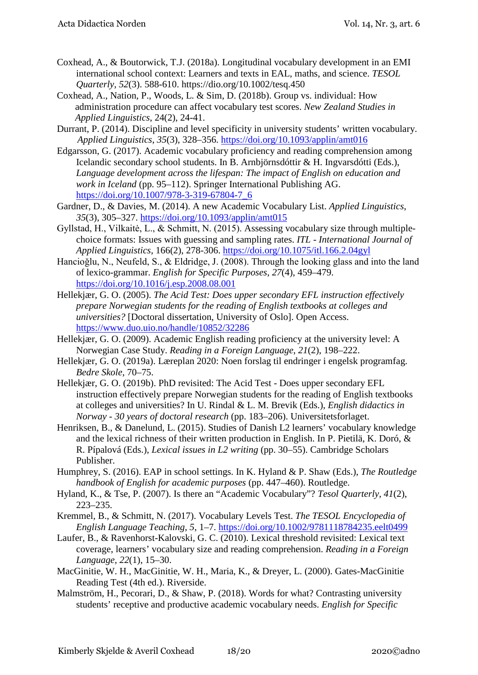- Coxhead, A., & Boutorwick, T.J. (2018a). Longitudinal vocabulary development in an EMI international school context: Learners and texts in EAL, maths, and science. *TESOL Quarterly, 52*(3). 588-610. https://dio.org/10.1002/tesq.450
- Coxhead, A., Nation, P., Woods, L. & Sim, D. (2018b). Group vs. individual: How administration procedure can affect vocabulary test scores. *New Zealand Studies in Applied Linguistics*, 24(2), 24-41.
- Durrant, P. (2014). Discipline and level specificity in university students' written vocabulary. *Applied Linguistics*, *35*(3), 328–356.<https://doi.org/10.1093/applin/amt016>
- Edgarsson, G. (2017). Academic vocabulary proficiency and reading comprehension among Icelandic secondary school students. In B. Arnbjörnsdóttir & H. Ingvarsdótti (Eds.), *Language development across the lifespan: The impact of English on education and work in Iceland* (pp. 95–112). Springer International Publishing AG. [https://doi.org/10.1007/978-3-319-67804-7\\_6](https://doi.org/10.1007/978-3-319-67804-7_6)
- Gardner, D., & Davies, M. (2014). A new Academic Vocabulary List. *Applied Linguistics*, *35*(3), 305–327.<https://doi.org/10.1093/applin/amt015>
- Gyllstad, H., Vilkaitė, L., & Schmitt, N. (2015). Assessing vocabulary size through multiplechoice formats: Issues with guessing and sampling rates. *ITL - International Journal of Applied Linguistics*, 166(2), 278-306.<https://doi.org/10.1075/itl.166.2.04gyl>
- Hancioǧlu, N., Neufeld, S., & Eldridge, J. (2008). Through the looking glass and into the land of lexico-grammar. *English for Specific Purposes*, *27*(4), 459–479. <https://doi.org/10.1016/j.esp.2008.08.001>
- Hellekjær, G. O. (2005). *The Acid Test: Does upper secondary EFL instruction effectively prepare Norwegian students for the reading of English textbooks at colleges and universities?* [Doctoral dissertation, University of Oslo]. Open Access. <https://www.duo.uio.no/handle/10852/32286>
- Hellekjær, G. O. (2009). Academic English reading proficiency at the university level: A Norwegian Case Study. *Reading in a Foreign Language*, *21*(2), 198–222.
- Hellekjær, G. O. (2019a). Læreplan 2020: Noen forslag til endringer i engelsk programfag. *Bedre Skole*, 70–75.
- Hellekjær, G. O. (2019b). PhD revisited: The Acid Test Does upper secondary EFL instruction effectively prepare Norwegian students for the reading of English textbooks at colleges and universities? In U. Rindal & L. M. Brevik (Eds.), *English didactics in Norway - 30 years of doctoral research* (pp. 183–206). Universitetsforlaget.
- Henriksen, B., & Danelund, L. (2015). Studies of Danish L2 learners' vocabulary knowledge and the lexical richness of their written production in English. In P. Pietilä, K. Doró, & R. Pípalová (Eds.), *Lexical issues in L2 writing* (pp. 30–55). Cambridge Scholars Publisher.
- Humphrey, S. (2016). EAP in school settings. In K. Hyland & P. Shaw (Eds.), *The Routledge handbook of English for academic purposes* (pp. 447–460). Routledge.
- Hyland, K., & Tse, P. (2007). Is there an "Academic Vocabulary"? *Tesol Quarterly*, *41*(2), 223–235.
- Kremmel, B., & Schmitt, N. (2017). Vocabulary Levels Test. *The TESOL Encyclopedia of English Language Teaching*, *5*, 1–7.<https://doi.org/10.1002/9781118784235.eelt0499>
- Laufer, B., & Ravenhorst-Kalovski, G. C. (2010). Lexical threshold revisited: Lexical text coverage, learners' vocabulary size and reading comprehension. *Reading in a Foreign Language*, *22*(1), 15–30.
- MacGinitie, W. H., MacGinitie, W. H., Maria, K., & Dreyer, L. (2000). Gates-MacGinitie Reading Test (4th ed.). Riverside.
- Malmström, H., Pecorari, D., & Shaw, P. (2018). Words for what? Contrasting university students' receptive and productive academic vocabulary needs. *English for Specific*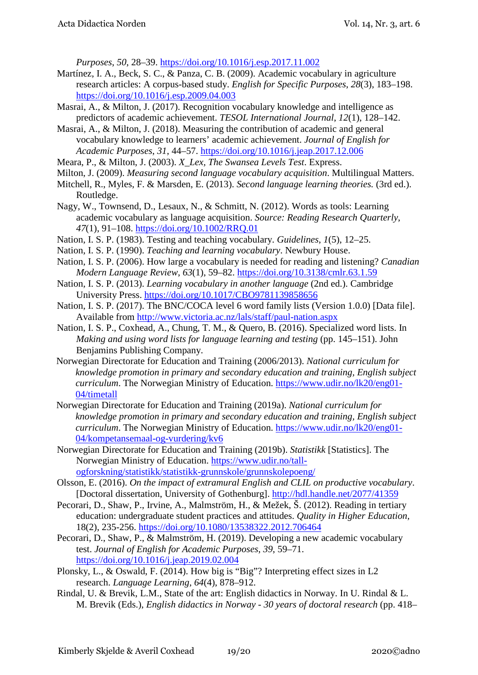*Purposes*, *50*, 28–39.<https://doi.org/10.1016/j.esp.2017.11.002>

- Martínez, I. A., Beck, S. C., & Panza, C. B. (2009). Academic vocabulary in agriculture research articles: A corpus-based study. *English for Specific Purposes*, *28*(3), 183–198. <https://doi.org/10.1016/j.esp.2009.04.003>
- Masrai, A., & Milton, J. (2017). Recognition vocabulary knowledge and intelligence as predictors of academic achievement. *TESOL International Journal*, *12*(1), 128–142.

Masrai, A., & Milton, J. (2018). Measuring the contribution of academic and general vocabulary knowledge to learners' academic achievement. *Journal of English for Academic Purposes*, *31*, 44–57.<https://doi.org/10.1016/j.jeap.2017.12.006>

- Meara, P., & Milton, J. (2003). *X\_Lex, The Swansea Levels Test*. Express.
- Milton, J. (2009). *Measuring second language vocabulary acquisition*. Multilingual Matters.
- Mitchell, R., Myles, F. & Marsden, E. (2013). *Second language learning theories.* (3rd ed.). Routledge.
- Nagy, W., Townsend, D., Lesaux, N., & Schmitt, N. (2012). Words as tools: Learning academic vocabulary as language acquisition. *Source: Reading Research Quarterly*, *47*(1), 91–108.<https://doi.org/10.1002/RRQ.01>
- Nation, I. S. P. (1983). Testing and teaching vocabulary. *Guidelines*, *1*(5), 12–25.
- Nation, I. S. P. (1990). *Teaching and learning vocabulary*. Newbury House.
- Nation, I. S. P. (2006). How large a vocabulary is needed for reading and listening? *Canadian Modern Language Review*, *63*(1), 59–82.<https://doi.org/10.3138/cmlr.63.1.59>
- Nation, I. S. P. (2013). *Learning vocabulary in another language* (2nd ed.). Cambridge University Press.<https://doi.org/10.1017/CBO9781139858656>
- Nation, I. S. P. (2017). The BNC/COCA level 6 word family lists (Version 1.0.0) [Data file]. Available from<http://www.victoria.ac.nz/lals/staff/paul-nation.aspx>
- Nation, I. S. P., Coxhead, A., Chung, T. M., & Quero, B. (2016). Specialized word lists. In *Making and using word lists for language learning and testing* (pp. 145–151). John Benjamins Publishing Company.
- Norwegian Directorate for Education and Training (2006/2013). *National curriculum for knowledge promotion in primary and secondary education and training, English subject curriculum*. The Norwegian Ministry of Education. [https://www.udir.no/lk20/eng01-](https://www.udir.no/lk20/eng01-04/timetall) [04/timetall](https://www.udir.no/lk20/eng01-04/timetall)
- Norwegian Directorate for Education and Training (2019a). *National curriculum for knowledge promotion in primary and secondary education and training, English subject curriculum*. The Norwegian Ministry of Education. [https://www.udir.no/lk20/eng01-](https://www.udir.no/lk20/eng01-04/kompetansemaal-og-vurdering/kv6) [04/kompetansemaal-og-vurdering/kv6](https://www.udir.no/lk20/eng01-04/kompetansemaal-og-vurdering/kv6)
- Norwegian Directorate for Education and Training (2019b). *Statistikk* [Statistics]. The Norwegian Ministry of Education. [https://www.udir.no/tall](https://www.udir.no/tall-ogforskning/statistikk/statistikk-grunnskole/grunnskolepoeng/)[ogforskning/statistikk/statistikk-grunnskole/grunnskolepoeng/](https://www.udir.no/tall-ogforskning/statistikk/statistikk-grunnskole/grunnskolepoeng/)
- Olsson, E. (2016). *On the impact of extramural English and CLIL on productive vocabulary*. [Doctoral dissertation, University of Gothenburg].<http://hdl.handle.net/2077/41359>
- Pecorari, D., Shaw, P., Irvine, A., Malmström, H., & Mežek, Š. (2012). Reading in tertiary education: undergraduate student practices and attitudes. *Quality in Higher Education,*  18(2), 235-256.<https://doi.org/10.1080/13538322.2012.706464>
- Pecorari, D., Shaw, P., & Malmström, H. (2019). Developing a new academic vocabulary test. *Journal of English for Academic Purposes*, *39*, 59–71. <https://doi.org/10.1016/j.jeap.2019.02.004>
- Plonsky, L., & Oswald, F. (2014). How big is "Big"? Interpreting effect sizes in L2 research. *Language Learning, 64*(4), 878–912.
- Rindal, U. & Brevik, L.M., State of the art: English didactics in Norway. In U. Rindal & L. M. Brevik (Eds.), *English didactics in Norway - 30 years of doctoral research* (pp. 418–